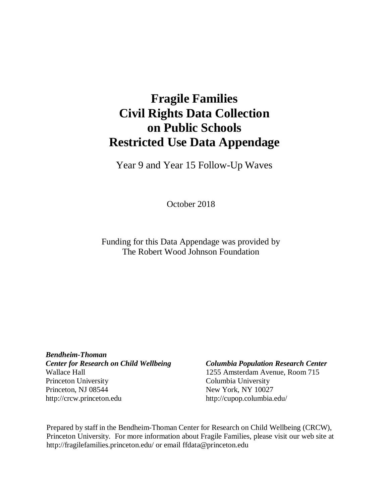# **Fragile Families Civil Rights Data Collection on Public Schools Restricted Use Data Appendage**

Year 9 and Year 15 Follow-Up Waves

October 2018

Funding for this Data Appendage was provided by The Robert Wood Johnson Foundation

*Bendheim-Thoman Center for Research on Child Wellbeing Columbia Population Research Center* Wallace Hall 1255 Amsterdam Avenue, Room 715 Princeton University Columbia University Princeton, NJ 08544 New York, NY 10027 [http://crcw.princeton.edu](http://crcw.princeton.edu/) [http://cupop.columbia.edu/](http://crcw.princeton.edu/)

Prepared by staff in the Bendheim-Thoman Center for Research on Child Wellbeing (CRCW), Princeton University. For more information about Fragile Families, please visit our web site [at](http://fragilefamilies.princeton.edu/) <http://fragilefamilies.princeton.edu/> or email [ffdata@princeton.edu](mailto:ffdata@princeton.edu)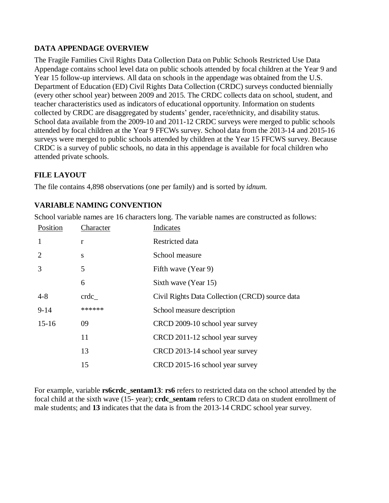### **DATA APPENDAGE OVERVIEW**

<span id="page-1-0"></span>The Fragile Families Civil Rights Data Collection Data on Public Schools Restricted Use Data Appendage contains school level data on public schools attended by focal children at the Year 9 and Year 15 follow-up interviews. All data on schools in the appendage was obtained from the U.S. Department of Education (ED) Civil Rights Data Collection (CRDC) surveys conducted biennially (every other school year) between 2009 and 2015. The CRDC collects data on school, student, and teacher characteristics used as indicators of educational opportunity. Information on students collected by CRDC are disaggregated by students' gender, race/ethnicity, and disability status. School data available from the 2009-10 and 2011-12 CRDC surveys were merged to public schools attended by focal children at the Year 9 FFCWs survey. School data from the 2013-14 and 2015-16 surveys were merged to public schools attended by children at the Year 15 FFCWS survey. Because CRDC is a survey of public schools, no data in this appendage is available for focal children who attended private schools.

### **FILE LAYOUT**

The file contains 4,898 observations (one per family) and is sorted by *idnum.*

#### **VARIABLE NAMING CONVENTION**

School variable names are 16 characters long. The variable names are constructed as follows:

| Position  | Character | Indicates                                       |
|-----------|-----------|-------------------------------------------------|
| 1         | r         | Restricted data                                 |
| 2         | S         | School measure                                  |
| 3         | 5         | Fifth wave (Year 9)                             |
|           | 6         | Sixth wave (Year 15)                            |
| $4 - 8$   | crdc      | Civil Rights Data Collection (CRCD) source data |
| $9 - 14$  | ******    | School measure description                      |
| $15 - 16$ | 09        | CRCD 2009-10 school year survey                 |
|           | 11        | CRCD 2011-12 school year survey                 |
|           | 13        | CRCD 2013-14 school year survey                 |
|           | 15        | CRCD 2015-16 school year survey                 |

For example, variable **rs6crdc\_sentam13**: **rs6** refers to restricted data on the school attended by the focal child at the sixth wave (15- year); **crdc\_sentam** refers to CRCD data on student enrollment of male students; and **13** indicates that the data is from the 2013-14 CRDC school year survey.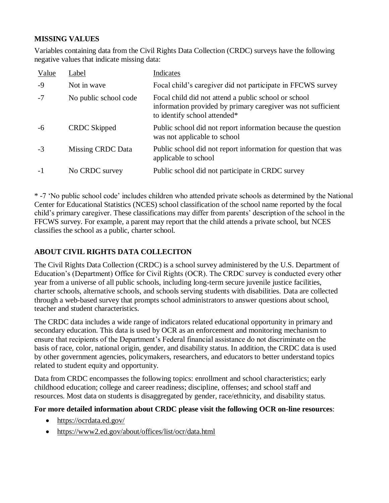### **MISSING VALUES**

Variables containing data from the Civil Rights Data Collection (CRDC) surveys have the following negative values that indicate missing data:

| Value | Label                 | Indicates                                                                                                                                            |
|-------|-----------------------|------------------------------------------------------------------------------------------------------------------------------------------------------|
| $-9$  | Not in wave           | Focal child's caregiver did not participate in FFCWS survey                                                                                          |
| $-7$  | No public school code | Focal child did not attend a public school or school<br>information provided by primary caregiver was not sufficient<br>to identify school attended* |
| -6    | <b>CRDC</b> Skipped   | Public school did not report information because the question<br>was not applicable to school                                                        |
| $-3$  | Missing CRDC Data     | Public school did not report information for question that was<br>applicable to school                                                               |
| $-1$  | No CRDC survey        | Public school did not participate in CRDC survey                                                                                                     |

\* -7 'No public school code' includes children who attended private schools as determined by the National Center for Educational Statistics (NCES) school classification of the school name reported by the focal child's primary caregiver. These classifications may differ from parents' description of the school in the FFCWS survey. For example, a parent may report that the child attends a private school, but NCES classifies the school as a public, charter school.

# **ABOUT CIVIL RIGHTS DATA COLLECITON**

The Civil Rights Data Collection (CRDC) is a school survey administered by the U.S. Department of Education's (Department) Office for Civil Rights (OCR). The CRDC survey is conducted every other year from a universe of all public schools, including long-term secure juvenile justice facilities, charter schools, alternative schools, and schools serving students with disabilities. Data are collected through a web-based survey that prompts school administrators to answer questions about school, teacher and student characteristics.

The CRDC data includes a wide range of indicators related educational opportunity in primary and secondary education. This data is used by OCR as an enforcement and monitoring mechanism to ensure that recipients of the Department's Federal financial assistance do not discriminate on the basis of race, color, national origin, gender, and disability status. In addition, the CRDC data is used by other government agencies, policymakers, researchers, and educators to better understand topics related to student equity and opportunity.

Data from CRDC encompasses the following topics: enrollment and school characteristics; early childhood education; college and career readiness; discipline, offenses; and school staff and resources. Most data on students is disaggregated by gender, race/ethnicity, and disability status.

#### **For more detailed information about CRDC please visit the following OCR on-line resources**:

- <https://ocrdata.ed.gov/>
- https://www2.ed.gov/about/offices/list/ocr/data.html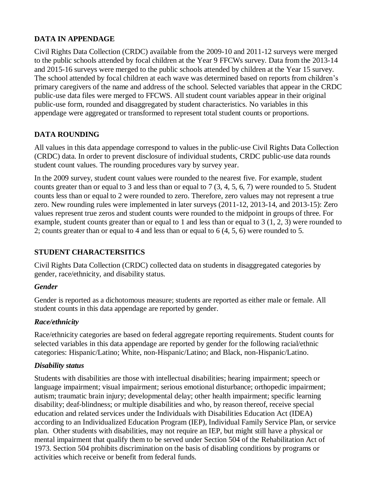# **DATA IN APPENDAGE**

Civil Rights Data Collection (CRDC) available from the 2009-10 and 2011-12 surveys were merged to the public schools attended by focal children at the Year 9 FFCWs survey. Data from the 2013-14 and 2015-16 surveys were merged to the public schools attended by children at the Year 15 survey. The school attended by focal children at each wave was determined based on reports from children's primary caregivers of the name and address of the school. Selected variables that appear in the CRDC public-use data files were merged to FFCWS. All student count variables appear in their original public-use form, rounded and disaggregated by student characteristics. No variables in this appendage were aggregated or transformed to represent total student counts or proportions.

# **DATA ROUNDING**

All values in this data appendage correspond to values in the public-use Civil Rights Data Collection (CRDC) data. In order to prevent disclosure of individual students, CRDC public-use data rounds student count values. The rounding procedures vary by survey year.

In the 2009 survey, student count values were rounded to the nearest five. For example, student counts greater than or equal to 3 and less than or equal to 7 (3, 4, 5, 6, 7) were rounded to 5. Student counts less than or equal to 2 were rounded to zero. Therefore, zero values may not represent a true zero. New rounding rules were implemented in later surveys (2011-12, 2013-14, and 2013-15): Zero values represent true zeros and student counts were rounded to the midpoint in groups of three. For example, student counts greater than or equal to 1 and less than or equal to 3 (1, 2, 3) were rounded to 2; counts greater than or equal to 4 and less than or equal to 6 (4, 5, 6) were rounded to 5.

# **STUDENT CHARACTERSITICS**

Civil Rights Data Collection (CRDC) collected data on students in disaggregated categories by gender, race/ethnicity, and disability status.

# *Gender*

Gender is reported as a dichotomous measure; students are reported as either male or female. All student counts in this data appendage are reported by gender.

# *Race/ethnicity*

Race/ethnicity categories are based on federal aggregate reporting requirements. Student counts for selected variables in this data appendage are reported by gender for the following racial/ethnic categories: Hispanic/Latino; White, non-Hispanic/Latino; and Black, non-Hispanic/Latino.

# *Disability status*

Students with disabilities are those with intellectual disabilities; hearing impairment; speech or language impairment; visual impairment; serious emotional disturbance; orthopedic impairment; autism; traumatic brain injury; developmental delay; other health impairment; specific learning disability; deaf-blindness; or multiple disabilities and who, by reason thereof, receive special education and related services under the Individuals with Disabilities Education Act (IDEA) according to an Individualized Education Program (IEP), Individual Family Service Plan, or service plan. Other students with disabilities, may not require an IEP, but might still have a physical or mental impairment that qualify them to be served under Section 504 of the Rehabilitation Act of 1973. Section 504 prohibits discrimination on the basis of disabling conditions by programs or activities which receive or benefit from federal funds.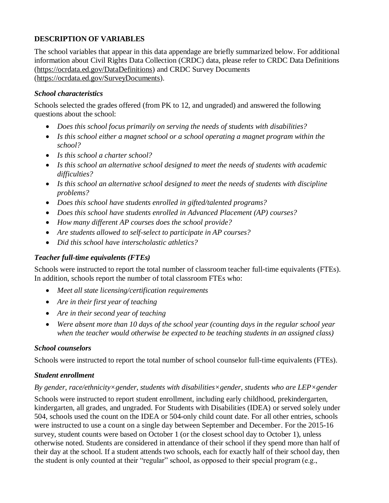# **DESCRIPTION OF VARIABLES**

The school variables that appear in this data appendage are briefly summarized below. For additional information about Civil Rights Data Collection (CRDC) data, please refer to CRDC Data Definitions [\(https://ocrdata.ed.gov/DataDefinitions\)](https://ocrdata.ed.gov/DataDefinitions) and CRDC Survey Documents [\(https://ocrdata.ed.gov/SurveyDocuments\)](https://ocrdata.ed.gov/SurveyDocuments).

#### *School characteristics*

Schools selected the grades offered (from PK to 12, and ungraded) and answered the following questions about the school:

- *Does this school focus primarily on serving the needs of students with disabilities?*
- *Is this school either a magnet school or a school operating a magnet program within the school?*
- *Is this school a charter school?*
- *Is this school an alternative school designed to meet the needs of students with academic difficulties?*
- *Is this school an alternative school designed to meet the needs of students with discipline problems?*
- *Does this school have students enrolled in gifted/talented programs?*
- *Does this school have students enrolled in Advanced Placement (AP) courses?*
- *How many different AP courses does the school provide?*
- *Are students allowed to self-select to participate in AP courses?*
- *Did this school have interscholastic athletics?*

# *Teacher full-time equivalents (FTEs)*

Schools were instructed to report the total number of classroom teacher full-time equivalents (FTEs). In addition, schools report the number of total classroom FTEs who:

- *Meet all state licensing/certification requirements*
- *Are in their first year of teaching*
- *Are in their second year of teaching*
- *Were absent more than 10 days of the school year (counting days in the regular school year when the teacher would otherwise be expected to be teaching students in an assigned class)*

#### *School counselors*

Schools were instructed to report the total number of school counselor full-time equivalents (FTEs).

#### *Student enrollment*

#### *By gender, race/ethnicity×gender, students with disabilities×gender, students who are LEP×gender*

Schools were instructed to report student enrollment, including early childhood, prekindergarten, kindergarten, all grades, and ungraded. For Students with Disabilities (IDEA) or served solely under 504, schools used the count on the IDEA or 504-only child count date. For all other entries, schools were instructed to use a count on a single day between September and December. For the 2015-16 survey, student counts were based on October 1 (or the closest school day to October 1), unless otherwise noted. Students are considered in attendance of their school if they spend more than half of their day at the school. If a student attends two schools, each for exactly half of their school day, then the student is only counted at their "regular" school, as opposed to their special program (e.g.,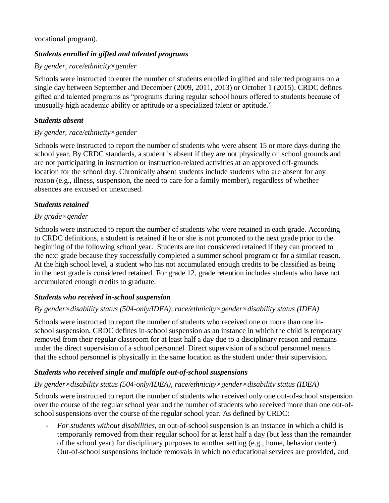#### vocational program).

### *Students enrolled in gifted and talented programs*

#### *By gender, race/ethnicity×gender*

Schools were instructed to enter the number of students enrolled in gifted and talented programs on a single day between September and December (2009, 2011, 2013) or October 1 (2015). CRDC defines gifted and talented programs as "programs during regular school hours offered to students because of unusually high academic ability or aptitude or a specialized talent or aptitude."

#### *Students absent*

#### *By gender, race/ethnicity×gender*

Schools were instructed to report the number of students who were absent 15 or more days during the school year. By CRDC standards, a student is absent if they are not physically on school grounds and are not participating in instruction or instruction-related activities at an approved off-grounds location for the school day. Chronically absent students include students who are absent for any reason (e.g., illness, suspension, the need to care for a family member), regardless of whether absences are excused or unexcused.

#### *Students retained*

#### *By grade×gender*

Schools were instructed to report the number of students who were retained in each grade. According to CRDC definitions, a student is retained if he or she is not promoted to the next grade prior to the beginning of the following school year. Students are not considered retained if they can proceed to the next grade because they successfully completed a summer school program or for a similar reason. At the high school level, a student who has not accumulated enough credits to be classified as being in the next grade is considered retained. For grade 12, grade retention includes students who have not accumulated enough credits to graduate.

#### *Students who received in-school suspension*

#### *By gender×disability status (504-only/IDEA), race/ethnicity×gender×disability status (IDEA)*

Schools were instructed to report the number of students who received one or more than one inschool suspension. CRDC defines in-school suspension as an instance in which the child is temporary removed from their regular classroom for at least half a day due to a disciplinary reason and remains under the direct supervision of a school personnel. Direct supervision of a school personnel means that the school personnel is physically in the same location as the student under their supervision.

#### *Students who received single and multiple out-of-school suspensions*

#### *By gender×disability status (504-only/IDEA), race/ethnicity×gender×disability status (IDEA)*

Schools were instructed to report the number of students who received only one out-of-school suspension over the course of the regular school year and the number of students who received more than one out-ofschool suspensions over the course of the regular school year. As defined by CRDC:

- *For students without disabilities*, an out-of-school suspension is an instance in which a child is temporarily removed from their regular school for at least half a day (but less than the remainder of the school year) for disciplinary purposes to another setting (e.g., home, behavior center). Out-of-school suspensions include removals in which no educational services are provided, and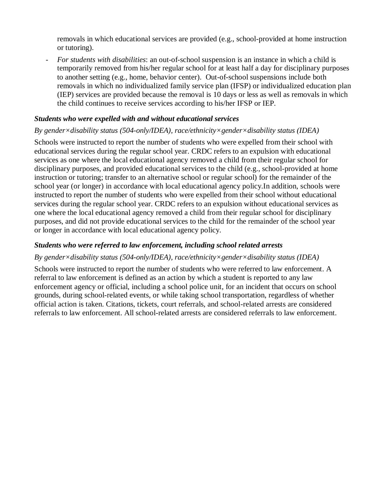removals in which educational services are provided (e.g., school-provided at home instruction or tutoring).

- *For students with disabilities*: an out-of-school suspension is an instance in which a child is temporarily removed from his/her regular school for at least half a day for disciplinary purposes to another setting (e.g., home, behavior center). Out-of-school suspensions include both removals in which no individualized family service plan (IFSP) or individualized education plan (IEP) services are provided because the removal is 10 days or less as well as removals in which the child continues to receive services according to his/her IFSP or IEP.

#### *Students who were expelled with and without educational services*

#### *By gender×disability status (504-only/IDEA), race/ethnicity×gender×disability status (IDEA)*

Schools were instructed to report the number of students who were expelled from their school with educational services during the regular school year. CRDC refers to an expulsion with educational services as one where the local educational agency removed a child from their regular school for disciplinary purposes, and provided educational services to the child (e.g., school-provided at home instruction or tutoring; transfer to an alternative school or regular school) for the remainder of the school year (or longer) in accordance with local educational agency policy.In addition, schools were instructed to report the number of students who were expelled from their school without educational services during the regular school year. CRDC refers to an expulsion without educational services as one where the local educational agency removed a child from their regular school for disciplinary purposes, and did not provide educational services to the child for the remainder of the school year or longer in accordance with local educational agency policy.

#### *Students who were referred to law enforcement, including school related arrests*

#### *By gender×disability status (504-only/IDEA), race/ethnicity×gender×disability status (IDEA)*

Schools were instructed to report the number of students who were referred to law enforcement. A referral to law enforcement is defined as an action by which a student is reported to any law enforcement agency or official, including a school police unit, for an incident that occurs on school grounds, during school-related events, or while taking school transportation, regardless of whether official action is taken. Citations, tickets, court referrals, and school-related arrests are considered referrals to law enforcement. All school-related arrests are considered referrals to law enforcement.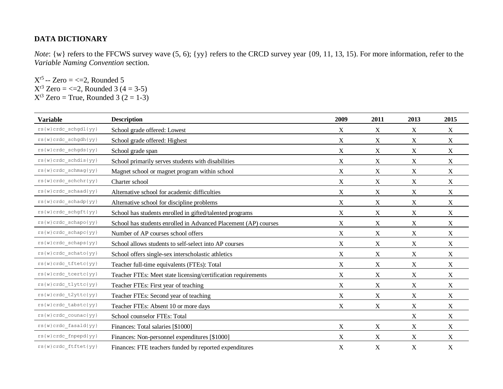### **DATA DICTIONARY**

*Note*: {w} refers to the FFCWS survey wave (5, 6); {yy} refers to the CRCD survey year {09, 11, 13, 15). For more information, refer to the *Variable [Naming Convention](#page-1-0)* section.

 $X^{r5} - \text{Zero} = \leq 2$ , Rounded 5  $X^{r3}$  Zero = <=2, Rounded 3 (4 = 3-5)  $X^{3}$  Zero = True, Rounded 3 (2 = 1-3)

| <b>Variable</b>                                                                     | <b>Description</b>                                              | 2009        | 2011             | 2013             | 2015                      |
|-------------------------------------------------------------------------------------|-----------------------------------------------------------------|-------------|------------------|------------------|---------------------------|
| $rs\left\{ w\right\} crdc\_schgdl\left\{ yy\right\}$                                | School grade offered: Lowest                                    | X           | X                | X                | $\mathbf X$               |
| $rs(w) crdc_schgdh(yy)$                                                             | School grade offered: Highest                                   | X           | $\mathbf X$      | $\mathbf X$      | $\mathbf X$               |
| $\texttt{rs}\{\mathtt{w}\} \, \mathtt{crdc\_schgds}\,\{\, \mathtt{y}\mathtt{y}\,\}$ | School grade span                                               | X           | $\boldsymbol{X}$ | $\boldsymbol{X}$ | X                         |
| $rs(w) crdc\_schdis\{yy\}$                                                          | School primarily serves students with disabilities              | X           | X                | X                | $\boldsymbol{\mathrm{X}}$ |
| rs{w}crdc_schmag{yy}                                                                | Magnet school or magnet program within school                   | X           | $\mathbf X$      | X                | $\mathbf X$               |
| $rs(w) crdc\_schchr(yy)$                                                            | Charter school                                                  | X           | X                | X                | X                         |
| $rs(w) crdc\_schaad\{yy\}$                                                          | Alternative school for academic difficulties                    | X           | X                | X                | $\mathbf X$               |
| rs{w}crdc_schadp{yy}                                                                | Alternative school for discipline problems                      | X           | $\mathbf X$      | $\mathbf X$      | $\mathbf X$               |
| $rs(w) crdc\_schgft(yy)$                                                            | School has students enrolled in gifted/talented programs        | X           | X                | X                | $\mathbf X$               |
| $rs{w}crdc_schapo{yy}$                                                              | School has students enrolled in Advanced Placement (AP) courses | X           | $\mathbf X$      | X                | $\mathbf X$               |
| rs{w}crdc_schapc{yy}                                                                | Number of AP courses school offers                              | X           | X                | X                | $\mathbf X$               |
| rs{w}crdc_schaps{yy}                                                                | School allows students to self-select into AP courses           | X           | X                | $\mathbf X$      | $\boldsymbol{\mathrm{X}}$ |
| rs{w}crdc_schato{yy}                                                                | School offers single-sex interscholastic athletics              | X           | X                | X                | $\mathbf X$               |
| $rs(w) crdc\_tftetc\{yy\}$                                                          | Teacher full-time equivalents (FTEs): Total                     | X           | $\mathbf X$      | X                | X                         |
| rs{w}crdc_tcertc{yy}                                                                | Teacher FTEs: Meet state licensing/certification requirements   | X           | X                | X                | $\mathbf X$               |
| rs{w}crdc_tlyttc{yy}                                                                | Teacher FTEs: First year of teaching                            | X           | X                | $\boldsymbol{X}$ | $\mathbf X$               |
| $rs(w) crdc_t2yttc\{yy\}$                                                           | Teacher FTEs: Second year of teaching                           | X           | X                | X                | $\mathbf X$               |
| $rs(w) crdc\_tabstc(yy)$                                                            | Teacher FTEs: Absent 10 or more days                            | X           | X                | $\boldsymbol{X}$ | X                         |
| $rs(w)\ncrdc\_count(yy)$                                                            | School counselor FTEs: Total                                    |             |                  | X                | X                         |
| rs{w}crdc_fasald{yy}                                                                | Finances: Total salaries [\$1000]                               | X           | X                | $\boldsymbol{X}$ | X                         |
| rs{w}crdc_fnpepd{yy}                                                                | Finances: Non-personnel expenditures [\$1000]                   | $\mathbf X$ | X                | X                | $\mathbf X$               |
| rs{w}crdc_ftftet{yy}                                                                | Finances: FTE teachers funded by reported expenditures          | $\mathbf X$ | $\mathbf X$      | $\mathbf X$      | X                         |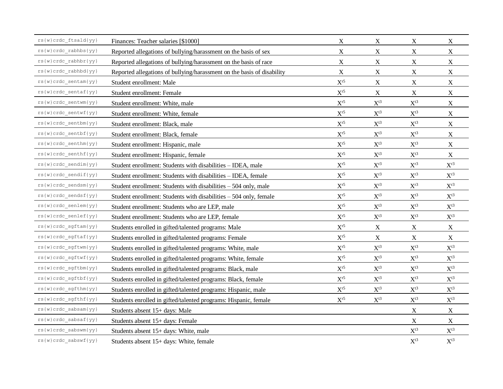| rs{w}crdc ftsald{yy}                                                         | Finances: Teacher salaries [\$1000]                                    | X                          | X                        | X                        | $\mathbf X$              |
|------------------------------------------------------------------------------|------------------------------------------------------------------------|----------------------------|--------------------------|--------------------------|--------------------------|
| rs{w}crdc_rabhbs{yy}                                                         | Reported allegations of bullying/harassment on the basis of sex        | $\mathbf X$                | $\mathbf X$              | $\mathbf X$              | $\mathbf X$              |
| rs{w}crdc rabhbr{yy}                                                         | Reported allegations of bullying/harassment on the basis of race       | $\mathbf X$                | $\mathbf X$              | $\mathbf X$              | $\mathbf X$              |
| $rs(w) crdc\_rabhbd\{yy\}$                                                   | Reported allegations of bullying/harassment on the basis of disability | $\mathbf X$                | $\mathbf X$              | $\mathbf X$              | $\mathbf X$              |
| $\texttt{rs}\{\mathtt{w}\} \mathtt{crdc\_sentam}\{\mathtt{yy}\}$             | Student enrollment: Male                                               | $\mathbf{X}^{\text{r5}}$   | $\mathbf X$              | $\mathbf X$              | $\mathbf X$              |
| rs{w}crdc_sentaf{yy}                                                         | Student enrollment: Female                                             | $\mathbf{X}^{\text{r5}}$   | $\mathbf X$              | $\mathbf X$              | $\mathbf X$              |
| rs{w}crdc_sentwm{yy}                                                         | Student enrollment: White, male                                        | $\mathbf{X}^{\text{r5}}$   | $\mathbf{X}^{\text{t3}}$ | $\mathbf{X}^{\text{t3}}$ | $\mathbf X$              |
| $rs(w) crdc\_sentwf\{yy\}$                                                   | Student enrollment: White, female                                      | $\mathbf{X}^{\text{r5}}$   | $\mathbf{X}^{\text{t3}}$ | $\mathbf{X}^{\text{t3}}$ | $\mathbf X$              |
| $rs\left\{ w\right\} crdc\_sentbm\left\{ yy\right\}$                         | Student enrollment: Black, male                                        | $\mathrm{X}^{\mathrm{r5}}$ | $X^{t3}$                 | $\mathbf{X}^{\text{t3}}$ | $\mathbf X$              |
| rs{w}crdc_sentbf{yy}                                                         | Student enrollment: Black, female                                      | $\mathbf{X}^{\text{r5}}$   | $\mathbf{X}^{\text{t3}}$ | $\mathbf{X}^{\text{t3}}$ | $\mathbf X$              |
| $rs(w)\ncrdc\_senthm\{yy\}$                                                  | Student enrollment: Hispanic, male                                     | $\mathbf{X}^{\text{r5}}$   | $\mathbf{X}^{\text{t3}}$ | $X^{t3}$                 | $\mathbf X$              |
| $rs(w) crdc\_senthf(yy)$                                                     | Student enrollment: Hispanic, female                                   | $\mathbf{X}^{\text{r5}}$   | $\mathbf{X}^{\text{t3}}$ | $\mathbf{X}^{\text{t3}}$ | $\mathbf X$              |
| rs{w}crdc sendim{yy}                                                         | Student enrollment: Students with disabilities - IDEA, male            | $\mathbf{X}^{\text{r5}}$   | $X^{r3}$                 | $X^{r3}$                 | $\mathbf{X}^{\text{r3}}$ |
| rs{w}crdc_sendif{yy}                                                         | Student enrollment: Students with disabilities - IDEA, female          | $\mathbf{X}^{\text{r5}}$   | $\mathbf{X}^{\text{r3}}$ | $\mathbf{X}^{\text{r3}}$ | $X^{r3}$                 |
| rs{w}crdc sendsm{yy}                                                         | Student enrollment: Students with disabilities - 504 only, male        | $\mathbf{X}^{\text{r5}}$   | $\mathbf{X}^{\text{r3}}$ | $\mathbf{X}^{\text{r3}}$ | $\mathbf{X}^{\text{r3}}$ |
| $rs(w) crdc\_sendsf(yy)$                                                     | Student enrollment: Students with disabilities – 504 only, female      | $\mathbf{X}^{\text{r5}}$   | $\mathbf{X}^{\text{t3}}$ | $\mathbf{X}^{\text{t3}}$ | $\mathbf{X}^{\text{t3}}$ |
| $rs(w) crdc\_senlem\{yy\}$                                                   | Student enrollment: Students who are LEP, male                         | $\mathbf{X}^{\text{r5}}$   | $\mathbf{X}^{\text{t3}}$ | $X^{t3}$                 | $X^{t3}$                 |
| rs{w}crdc_senlef{yy}                                                         | Student enrollment: Students who are LEP, female                       | $\mathbf{X}^{\text{r5}}$   | $\mathbf{X}^{\text{t3}}$ | $\mathbf{X}^{\text{t3}}$ | $\mathbf{X}^{\text{t3}}$ |
| rs{w}crdc_sgftam{yy}                                                         | Students enrolled in gifted/talented programs: Male                    | $\mathbf{X}^{\text{r5}}$   | $\mathbf X$              | X                        | $\boldsymbol{X}$         |
| rs{w}crdc_sgftaf{yy}                                                         | Students enrolled in gifted/talented programs: Female                  | $\mathbf{X}^{\text{r5}}$   | $\mathbf X$              | $\mathbf X$              | $\mathbf X$              |
| $\texttt{rs}\{\mathtt{w}\} \mathtt{crdc\_sgftwm}\{\mathtt{yy}\}$             | Students enrolled in gifted/talented programs: White, male             | $\mathrm{X}^{\mathrm{r5}}$ | $\mathbf{X}^{\text{t3}}$ | $\mathbf{X}^{\text{t3}}$ | $\mathbf{X}^{\text{t3}}$ |
| rs{w}crdc_sgftwf{yy}                                                         | Students enrolled in gifted/talented programs: White, female           | $\mathbf{X}^{\text{r5}}$   | $\mathbf{X}^{\text{t3}}$ | $\mathbf{X}^{\text{t3}}$ | $\mathbf{X}^{\text{t3}}$ |
| rs{w}crdc_sgftbm{yy}                                                         | Students enrolled in gifted/talented programs: Black, male             | $\mathbf{X}^{\text{r5}}$   | $\mathbf{X}^{\text{t3}}$ | $\mathbf{X}^{\text{t3}}$ | $\mathbf{X}^{\text{t3}}$ |
| rs{w}crdc_sgftbf{yy}                                                         | Students enrolled in gifted/talented programs: Black, female           | $\mathbf{X}^{\text{r5}}$   | $\mathbf{X}^{\text{t3}}$ | $\mathbf{X}^{\text{t3}}$ | $\mathbf{X}^{\text{t3}}$ |
| rs{w}crdc_sgfthm{yy}                                                         | Students enrolled in gifted/talented programs: Hispanic, male          | $\mathrm{X}^{\mathrm{r5}}$ | $X^{t3}$                 | $\mathbf{X}^{\text{t3}}$ | $\mathbf{X}^{\text{t3}}$ |
| rs{w}crdc_sgfthf{yy}                                                         | Students enrolled in gifted/talented programs: Hispanic, female        | $\mathbf{X}^{\text{r5}}$   | $\mathbf{X}^{\text{t3}}$ | $\mathbf{X}^{\text{t3}}$ | $\mathbf{X}^{\text{t3}}$ |
| rs{w}crdc_sabsam{yy}                                                         | Students absent 15+ days: Male                                         |                            |                          | $\mathbf X$              | $\mathbf X$              |
| $\texttt{rs}\{\mathtt{w}\} \, \mathtt{crdc\_sabsaf}\{\mathtt{y}\mathtt{y}\}$ | Students absent 15+ days: Female                                       |                            |                          | $\mathbf X$              | $\mathbf X$              |
| rs{w}crdc_sabswm{yy}                                                         | Students absent 15+ days: White, male                                  |                            |                          | $X^{t3}$                 | $X^{t3}$                 |
| $rs(w) crdc\_sabswf(yy)$                                                     | Students absent 15+ days: White, female                                |                            |                          | $\mathbf{X}^{\text{t3}}$ | $X^{t3}$                 |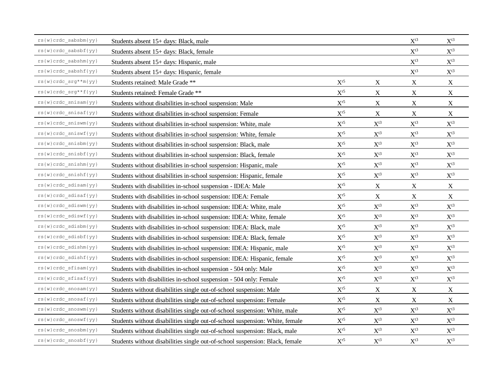| $rs(w) crdc\_sabsbm(yy)$                                         | Students absent 15+ days: Black, male                                        |                            |                          | $X^{t3}$                 | $X^{t3}$                 |
|------------------------------------------------------------------|------------------------------------------------------------------------------|----------------------------|--------------------------|--------------------------|--------------------------|
| $rs(w) crdc\_sabsbf(yy)$                                         | Students absent 15+ days: Black, female                                      |                            |                          | $\mathbf{X}^{\text{t3}}$ | $X^{t3}$                 |
| rs{w}crdc_sabshm{yy}                                             | Students absent 15+ days: Hispanic, male                                     |                            |                          | $X^{t3}$                 | $X^{t3}$                 |
| $rs(w) crdc\_sabshf\{yy\}$                                       | Students absent 15+ days: Hispanic, female                                   |                            |                          | $\mathbf{X}^{\text{t3}}$ | $\mathbf{X}^{\text{t3}}$ |
| $rs(w) crdc_srg**m(yy)$                                          | Students retained: Male Grade **                                             | $\mathbf{X}^{\text{r5}}$   | X                        | X                        | $\mathbf X$              |
| $rs(w) crdc\_srg**f(yy)$                                         | Students retained: Female Grade **                                           | $\mathbf{X}^{\text{r5}}$   | $\mathbf X$              | $\mathbf X$              | $\mathbf X$              |
| rs{w}crdc_snisam{yy}                                             | Students without disabilities in-school suspension: Male                     | $\mathbf{X}^{\text{r5}}$   | $\mathbf X$              | $\mathbf X$              | $\mathbf X$              |
| $rs(w) crdc\_snisaf\{yy\}$                                       | Students without disabilities in-school suspension: Female                   | $\mathbf{X}^{\text{r5}}$   | $\mathbf X$              | $\mathbf X$              | $\mathbf X$              |
| $\texttt{rs}\{\mathtt{w}\} \mathtt{crdc\_sniswm}\{\mathtt{yy}\}$ | Students without disabilities in-school suspension: White, male              | $\mathbf{X}^{\text{r5}}$   | $\mathbf{X}^{\text{t3}}$ | $\mathbf{X}^{\text{t3}}$ | $\mathbf{X}^{\text{t3}}$ |
| $rs(w) crdc\_sniswf(yy)$                                         | Students without disabilities in-school suspension: White, female            | $\mathbf{X}^{\text{r5}}$   | $\mathbf{X}^{\text{t3}}$ | $\mathbf{X}^{\text{t3}}$ | $\mathbf{X}^{\text{t3}}$ |
| rs{w}crdc_snisbm{yy}                                             | Students without disabilities in-school suspension: Black, male              | $\mathbf{X}^{\text{r5}}$   | $\mathbf{X}^{\text{t3}}$ | $X^{t3}$                 | $X^{t3}$                 |
| $rs(w) crdc\_snisbf\{yy\}$                                       | Students without disabilities in-school suspension: Black, female            | $\mathbf{X}^{\text{r5}}$   | $\mathbf{X}^{\text{t3}}$ | $\mathbf{X}^{\text{t3}}$ | $\mathbf{X}^{\text{t3}}$ |
| $rs(w) crdc\_snishm\{yy\}$                                       | Students without disabilities in-school suspension: Hispanic, male           | $\mathbf{X}^{\text{r5}}$   | $X^{t3}$                 | $X^{t3}$                 | $X^{t3}$                 |
| $rs(w) crdc\_snishf(yy)$                                         | Students without disabilities in-school suspension: Hispanic, female         | $\mathbf{X}^{\text{r5}}$   | $\mathbf{X}^{\text{t3}}$ | $\mathbf{X}^{\text{t3}}$ | $\mathbf{X}^{\text{t3}}$ |
| rs{w}crdc_sdisam{yy}                                             | Students with disabilities in-school suspension - IDEA: Male                 | $\mathbf{X}^{\text{r5}}$   | $\mathbf X$              | $\mathbf X$              | $\mathbf X$              |
| $rs(w)crdc\_sdisaf\{yy\}$                                        | Students with disabilities in-school suspension: IDEA: Female                | $\mathbf{X}^{\text{r5}}$   | $\mathbf X$              | $\mathbf X$              | $\mathbf X$              |
| $rs(w) crdc\_sdiswm(yy)$                                         | Students with disabilities in-school suspension: IDEA: White, male           | $\mathbf{X}^{\text{r5}}$   | $\mathbf{X}^{\text{t3}}$ | $\mathbf{X}^{\text{t3}}$ | $\mathbf{X}^{\text{t3}}$ |
| rs{w}crdc_sdiswf{yy}                                             | Students with disabilities in-school suspension: IDEA: White, female         | $\mathbf{X}^{\text{r5}}$   | $\mathbf{X}^{\text{t3}}$ | $\mathbf{X}^{\text{t3}}$ | $\mathbf{X}^{\text{t3}}$ |
| rs{w}crdc_sdisbm{yy}                                             | Students with disabilities in-school suspension: IDEA: Black, male           | $\mathbf{X}^{\text{r5}}$   | $\mathbf{X}^{\text{t3}}$ | $\mathbf{X}^{\text{t3}}$ | $\mathbf{X}^{\text{t3}}$ |
| $rs(w)crdc\_sdisbf(yy)$                                          | Students with disabilities in-school suspension: IDEA: Black, female         | $\mathbf{X}^{\text{r5}}$   | $\mathbf{X}^{\text{t3}}$ | $\mathbf{X}^{\text{t3}}$ | $\mathbf{X}^{\text{t3}}$ |
| rs{w}crdc_sdishm{yy}                                             | Students with disabilities in-school suspension: IDEA: Hispanic, male        | $\mathrm{X}^{\mathrm{r5}}$ | $\mathbf{X}^{\text{t3}}$ | $\mathbf{X}^{\text{t3}}$ | $\mathbf{X}^{\text{t3}}$ |
| rs{w}crdc_sdishf{yy}                                             | Students with disabilities in-school suspension: IDEA: Hispanic, female      | $\mathbf{X}^{\text{r5}}$   | $\mathbf{X}^{\text{t3}}$ | $\mathbf{X}^{\text{t3}}$ | $\mathbf{X}^{\text{t3}}$ |
| rs{w}crdc_sfisam{yy}                                             | Students with disabilities in-school suspension - 504 only: Male             | $\mathbf{X}^{\text{r5}}$   | $\mathbf{X}^{\text{t3}}$ | $\mathbf{X}^{\text{t3}}$ | $\mathbf{X}^{\text{t3}}$ |
| $rs(w) crdc_sfisaf\{yy\}$                                        | Students with disabilities in-school suspension - 504 only: Female           | $\mathbf{X}^{\text{r5}}$   | $\mathbf{X}^{\text{t3}}$ | $\mathbf{X}^{\text{t3}}$ | $\mathbf{X}^{\text{t3}}$ |
| rs{w}crdc_snosam{yy}                                             | Students without disabilities single out-of-school suspension: Male          | $\mathbf{X}^{\text{r5}}$   | $\mathbf X$              | $\mathbf X$              | $\mathbf X$              |
| $rs(w) crdc\_snosaf\{yy\}$                                       | Students without disabilities single out-of-school suspension: Female        | $\mathbf{X}^{\text{r5}}$   | $\mathbf X$              | $\mathbf X$              | $\mathbf X$              |
| rs{w}crdc_snoswm{yy}                                             | Students without disabilities single out-of-school suspension: White, male   | $\mathbf{X}^{\text{r5}}$   | $\mathbf{X}^{\text{t3}}$ | $\mathbf{X}^{\text{t3}}$ | $\mathbf{X}^{\text{t3}}$ |
| $rs(w)\,crdc\_snoswf\, \{ yy\}$                                  | Students without disabilities single out-of-school suspension: White, female | $\mathbf{X}^{\text{r5}}$   | $\mathbf{X}^{\text{t3}}$ | $\mathbf{X}^{\text{t3}}$ | $\mathbf{X}^{\text{t3}}$ |
| rs{w}crdc_snosbm{yy}                                             | Students without disabilities single out-of-school suspension: Black, male   | $\mathbf{X}^{\text{r5}}$   | $X^{t3}$                 | $X^{t3}$                 | $X^{t3}$                 |
| rs{w}crdc snosbf{yy}                                             | Students without disabilities single out-of-school suspension: Black, female | $\mathbf{X}^{\text{r5}}$   | $X^{t3}$                 | $X^{t3}$                 | $X^{t3}$                 |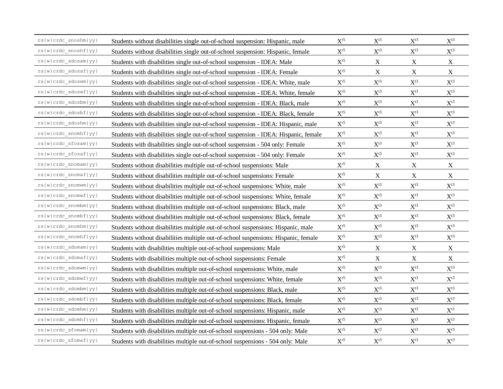| $rs(w)\ncrdc\_snoshm\{yy\}$ | Students without disabilities single out-of-school suspension: Hispanic, male       | $X^{r5}$                 | $X^{t3}$                 | $X^{t3}$                 | $X^{t3}$                 |
|-----------------------------|-------------------------------------------------------------------------------------|--------------------------|--------------------------|--------------------------|--------------------------|
| rs{w}crdc_snoshf{yy}        | Students without disabilities single out-of-school suspension: Hispanic, female     | $\mathbf{X}^{\text{r5}}$ | $\mathbf{X}^{\text{t3}}$ | $\mathbf{X}^{\text{t3}}$ | $\mathbf{X}^{\text{t3}}$ |
| $rs(w) crdc\_sdosam\{yy\}$  | Students with disabilities single out-of-school suspension - IDEA: Male             | $\mathbf{X}^{\text{r5}}$ | $\mathbf X$              | X                        | X                        |
| rs{w}crdc_sdosaf{yy}        | Students with disabilities single out-of-school suspension - IDEA: Female           | $\mathbf{X}^{\text{r5}}$ | $\mathbf X$              | $\mathbf X$              | $\mathbf X$              |
| $rs(w)\ncrdc\_sdown\{yy\}$  | Students with disabilities single out-of-school suspension - IDEA: White, male      | $\mathbf{X}^{\text{r5}}$ | $\mathbf{X}^{\text{t3}}$ | $\mathbf{X}^{\text{t3}}$ | $\mathbf{X}^{\text{t3}}$ |
| rs{w}crdc_sdoswf{yy}        | Students with disabilities single out-of-school suspension - IDEA: White, female    | $\mathbf{X}^{\text{r5}}$ | $\mathbf{X}^{\text{t3}}$ | $\mathbf{X}^{\text{t3}}$ | $\mathbf{X}^{\text{t3}}$ |
| $rs(w) crdc\_sdoshm\{yy\}$  | Students with disabilities single out-of-school suspension - IDEA: Black, male      | $\mathbf{X}^{\text{r5}}$ | $\mathbf{X}^{\text{t3}}$ | $\mathbf{X}^{\text{t3}}$ | $\mathbf{X}^{\text{t3}}$ |
| rs{w}crdc_sdosbf{yy}        | Students with disabilities single out-of-school suspension - IDEA: Black, female    | $\mathbf{X}^{\text{r5}}$ | $\mathbf{X}^{\text{t3}}$ | $\mathbf{X}^{\text{t3}}$ | $\mathbf{X}^{\text{t3}}$ |
| $rs(w) crdc\_sdoshm\{yy\}$  | Students with disabilities single out-of-school suspension - IDEA: Hispanic, male   | $\mathbf{X}^{\text{r5}}$ | $\mathbf{X}^{\text{t3}}$ | $X^{t3}$                 | $X^{t3}$                 |
| rs{w}crdc_snomhf{yy}        | Students with disabilities single out-of-school suspension - IDEA: Hispanic, female | $\mathbf{X}^{\text{r5}}$ | $\mathbf{X}^{\text{t3}}$ | $\mathbf{X}^{\text{t3}}$ | $\mathbf{X}^{\text{t3}}$ |
| $rs(w) crdc_sfosam\{yy\}$   | Students with disabilities single out-of-school suspension - 504 only: Female       | $\mathbf{X}^{\text{r5}}$ | $\mathbf{X}^{\text{t3}}$ | $\mathbf{X}^{\text{t3}}$ | $X^{t3}$                 |
| rs{w}crdc_sfosaf{yy}        | Students with disabilities single out-of-school suspension - 504 only: Female       | $\mathbf{X}^{\text{r5}}$ | $X^{t3}$                 | $\mathbf{X}^{\text{t3}}$ | $\mathbf{X}^{\text{t3}}$ |
| rs{w}crdc snomam{yy}        | Students without disabilities multiple out-of-school suspensions: Male              | $\mathbf{X}^{\text{r5}}$ | $\mathbf X$              | X                        | X                        |
| $rs(w) crdc\_snomaf(yy)$    | Students without disabilities multiple out-of-school suspensions: Female            | $\mathbf{X}^{\text{r5}}$ | $\mathbf X$              | $\mathbf X$              | $\mathbf X$              |
| $rs(w)\ncrdc\_snomm\{yy\}$  | Students without disabilities multiple out-of-school suspensions: White, male       | $\mathbf{X}^{\text{r5}}$ | $\mathbf{X}^{\text{t3}}$ | $\mathbf{X}^{\text{t3}}$ | $\mathbf{X}^{\text{t3}}$ |
| rs{w}crdc_snomwf{yy}        | Students without disabilities multiple out-of-school suspensions: White, female     | $\mathbf{X}^{\text{r5}}$ | $\mathbf{X}^{\text{t3}}$ | $\mathbf{X}^{\text{t3}}$ | $\mathbf{X}^{\text{t3}}$ |
| $rs(w)\ncrdc\_snombm\{yy\}$ | Students without disabilities multiple out-of-school suspensions: Black, male       | $\mathbf{X}^{\text{r5}}$ | $\mathbf{X}^{\text{t3}}$ | $\mathbf{X}^{\text{t3}}$ | $\mathbf{X}^{\text{t3}}$ |
| rs{w}crdc snombf{yy}        | Students without disabilities multiple out-of-school suspensions: Black, female     | $\mathbf{X}^{\text{r5}}$ | $\mathbf{X}^{\text{t3}}$ | $\mathbf{X}^{\text{t3}}$ | $\mathbf{X}^{\text{t3}}$ |
| $rs(w)\ncrdc\_snomhm\{yy\}$ | Students without disabilities multiple out-of-school suspensions: Hispanic, male    | $\mathbf{X}^{\text{r5}}$ | $\mathbf{X}^{\text{t3}}$ | $\mathbf{X}^{\text{t3}}$ | $\mathbf{X}^{\text{t3}}$ |
| $rs(w)\ncrdc\_snomhf\{yy\}$ | Students without disabilities multiple out-of-school suspensions: Hispanic, female  | $\mathbf{X}^{\text{r5}}$ | $\mathbf{X}^{\text{t3}}$ | $\mathbf{X}^{\text{t3}}$ | $X^{t3}$                 |
| rs{w}crdc sdomam{yy}        | Students with disabilities multiple out-of-school suspensions: Male                 | $\mathbf{X}^{\text{r5}}$ | $\mathbf X$              | $\mathbf X$              | $\mathbf X$              |
| rs{w}crdc sdomaf{yy}        | Students with disabilities multiple out-of-school suspensions: Female               | $\mathbf{X}^{\text{r5}}$ | $\mathbf X$              | $\mathbf X$              | $\mathbf X$              |
| $rs(w)\ncrdc\_sdomm\{yy\}$  | Students with disabilities multiple out-of-school suspensions: White, male          | $\mathbf{X}^{\text{r5}}$ | $\mathbf{X}^{\text{t3}}$ | $\mathbf{X}^{\text{t3}}$ | $\mathbf{X}^{\text{t3}}$ |
| $rs(w)\ncrdc\_sdomwf\{yy\}$ | Students with disabilities multiple out-of-school suspensions: White, female        | $\mathbf{X}^{\text{r5}}$ | $\mathbf{X}^{\text{t3}}$ | $\mathbf{X}^{\text{t3}}$ | $\mathbf{X}^{\text{t3}}$ |
| $rs(w)\ncrdc\_sdombm\{yy\}$ | Students with disabilities multiple out-of-school suspensions: Black, male          | $\mathbf{X}^{\text{r5}}$ | $\mathbf{X}^{\text{t3}}$ | $\mathbf{X}^{\text{t3}}$ | $\mathbf{X}^{\text{t3}}$ |
| rs{w}crdc_sdombf{yy}        | Students with disabilities multiple out-of-school suspensions: Black, female        | $\mathbf{X}^{\text{r5}}$ | $\mathbf{X}^{\text{t3}}$ | $\mathbf{X}^{\text{t3}}$ | $\mathbf{X}^{\text{t3}}$ |
| rs{w}crdc_sdomhm{yy}        | Students with disabilities multiple out-of-school suspensions: Hispanic, male       | $\mathbf{X}^{\text{r5}}$ | $\mathbf{X}^{\text{t3}}$ | $X^{t3}$                 | $X^{t3}$                 |
| rs{w}crdc sdomhf{yy}        | Students with disabilities multiple out-of-school suspensions: Hispanic, female     | $\mathbf{X}^{\text{r5}}$ | $\mathbf{X}^{\text{t3}}$ | $\mathbf{X}^{\text{t3}}$ | $\mathbf{X}^{\text{t3}}$ |
| rs{w}crdc sfomam{yy}        | Students with disabilities multiple out-of-school suspensions - 504 only: Male      | $\mathbf{X}^{\text{r5}}$ | $\mathbf{X}^{\text{t3}}$ | $\mathbf{X}^{\text{t3}}$ | $\mathbf{X}^{\text{t3}}$ |
| rs{w}crdc sfomaf{yy}        | Students with disabilities multiple out-of-school suspensions - 504 only: Male      | $\mathbf{X}^{\text{r5}}$ | $X^{t3}$                 | $X^{t3}$                 | $X^{t3}$                 |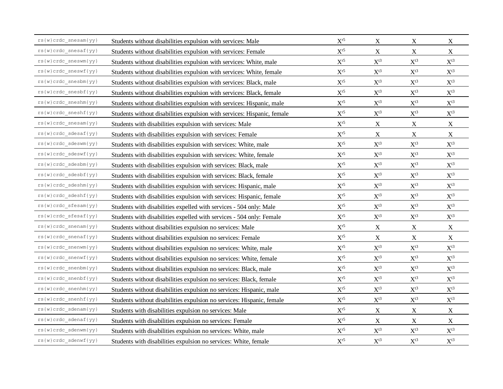| $rs(w) crdc\_snesam\{yy\}$                                                 | Students without disabilities expulsion with services: Male             | $X^{r5}$                 | X                        | X                        | X                        |
|----------------------------------------------------------------------------|-------------------------------------------------------------------------|--------------------------|--------------------------|--------------------------|--------------------------|
| rs{w}crdc snesaf{yy}                                                       | Students without disabilities expulsion with services: Female           | $\mathbf{X}^{\text{r5}}$ | $\mathbf X$              | $\mathbf X$              | $\mathbf X$              |
| $rs(w)\ncrdc\_sneswm\{yy\}$                                                | Students without disabilities expulsion with services: White, male      | $\mathbf{X}^{\text{r5}}$ | $\mathbf{X}^{\text{t3}}$ | $\mathbf{X}^{\text{t3}}$ | $\mathbf{X}^{\text{t3}}$ |
| $rs(w) crdc\_sneswf\{yy\}$                                                 | Students without disabilities expulsion with services: White, female    | $\mathbf{X}^{\text{r5}}$ | $\mathbf{X}^{\text{t3}}$ | $\mathbf{X}^{\text{t3}}$ | $\mathbf{X}^{\text{t3}}$ |
| $rs\left\{\texttt{w}\right\} crdc\_snesbm\left\{\texttt{yy}\right\}$       | Students without disabilities expulsion with services: Black, male      | $\mathbf{X}^{\text{r5}}$ | $\mathbf{X}^{\text{t3}}$ | $X^{t3}$                 | $X^{t3}$                 |
| rs{w}crdc_snesbf{yy}                                                       | Students without disabilities expulsion with services: Black, female    | $\mathbf{X}^{\text{r5}}$ | $\mathbf{X}^{\text{t3}}$ | $\mathbf{X}^{\text{t3}}$ | $\mathbf{X}^{\text{t3}}$ |
| $rs(w)\ncrdc\_sneshm\{yy\}$                                                | Students without disabilities expulsion with services: Hispanic, male   | $\mathbf{X}^{\text{r5}}$ | $\mathbf{X}^{\text{t3}}$ | $\mathbf{X}^{\text{t3}}$ | $\mathbf{X}^{\text{t3}}$ |
| $rs\left\{ w\right\} crdc\_sneshf\left\{ yy\right\}$                       | Students without disabilities expulsion with services: Hispanic, female | $\mathbf{X}^{\text{r5}}$ | $\mathbf{X}^{\text{t3}}$ | $\mathbf{X}^{\text{t3}}$ | $\mathbf{X}^{\text{t3}}$ |
| $rs(w)\ncrdc\_snesam\{yy\}$                                                | Students with disabilities expulsion with services: Male                | $\mathbf{X}^{\text{r5}}$ | $\mathbf X$              | X                        | $\mathbf X$              |
| $rs(w)crdc sdesaf\{yy\}$                                                   | Students with disabilities expulsion with services: Female              | $\mathbf{X}^{\text{r5}}$ | $\mathbf X$              | $\mathbf X$              | $\mathbf X$              |
| rs{w}crdc sdeswm{yy}                                                       | Students with disabilities expulsion with services: White, male         | $\mathbf{X}^{\text{r5}}$ | $\mathbf{X}^{\text{t3}}$ | $\mathbf{X}^{\text{t3}}$ | $\mathbf{X}^{\text{t3}}$ |
| $\texttt{rs}\{\mathtt{w}\} \mathtt{crdc\_s} \mathtt{deswf}\{\mathtt{yy}\}$ | Students with disabilities expulsion with services: White, female       | $\mathbf{X}^{\text{r5}}$ | $\mathbf{X}^{\text{t3}}$ | $\mathbf{X}^{\text{t3}}$ | $\mathbf{X}^{\text{t3}}$ |
| $rs(w)\ncrdc\_sdesbm\{yy\}$                                                | Students with disabilities expulsion with services: Black, male         | $\mathbf{X}^{\text{r5}}$ | $\mathbf{X}^{\text{t3}}$ | $X^{t3}$                 | $X^{t3}$                 |
| rs{w}crdc_sdesbf{yy}                                                       | Students with disabilities expulsion with services: Black, female       | $\mathbf{X}^{\text{r5}}$ | $\mathbf{X}^{\text{t3}}$ | $\mathbf{X}^{\text{t3}}$ | $\mathbf{X}^{\text{t3}}$ |
| $rs(w) crdc_sdeshm\{yy\}$                                                  | Students with disabilities expulsion with services: Hispanic, male      | $\mathbf{X}^{\text{r5}}$ | $\mathbf{X}^{\text{t3}}$ | $\mathbf{X}^{\text{t3}}$ | $\mathbf{X}^{\text{t3}}$ |
| $rs(w) crdc_sdeshf\{yy\}$                                                  | Students with disabilities expulsion with services: Hispanic, female    | $\mathbf{X}^{\text{r5}}$ | $\mathbf{X}^{\text{t3}}$ | $\mathbf{X}^{\text{t3}}$ | $\mathbf{X}^{\text{t3}}$ |
| $rs(w) crdc_s fesam\{yy\}$                                                 | Students with disabilities expelled with services - 504 only: Male      | $\mathbf{X}^{\text{r5}}$ | $\mathbf{X}^{\text{t3}}$ | $\mathbf{X}^{\text{t3}}$ | $\mathbf{X}^{\text{t3}}$ |
| rs{w}crdc_sfesaf{yy}                                                       | Students with disabilities expelled with services - 504 only: Female    | $\mathbf{X}^{\text{r5}}$ | $\mathbf{X}^{\text{t3}}$ | $\mathbf{X}^{\text{t3}}$ | $\mathbf{X}^{\text{t3}}$ |
| $rs(w)\ncrdc\_snenam\{yy\}$                                                | Students without disabilities expulsion no services: Male               | $\mathbf{X}^{\text{r5}}$ | $\mathbf X$              | $\mathbf X$              | $\mathbf X$              |
| $rs(w) crdc\_snenaf\{yy\}$                                                 | Students without disabilities expulsion no services: Female             | $\mathbf{X}^{\text{r5}}$ | $\mathbf X$              | $\mathbf X$              | $\mathbf X$              |
| $rs(w)\ncrdc\_snenum\{yy\}$                                                | Students without disabilities expulsion no services: White, male        | $\mathbf{X}^{\text{r5}}$ | $\mathbf{X}^{\text{t3}}$ | $\mathbf{X}^{\text{t3}}$ | $\mathbf{X}^{\text{t3}}$ |
| rs{w}crdc snenwf{yy}                                                       | Students without disabilities expulsion no services: White, female      | $\mathbf{X}^{\text{r5}}$ | $\mathbf{X}^{\text{t3}}$ | $\mathbf{X}^{\text{t3}}$ | $\mathbf{X}^{\text{t3}}$ |
| $rs(w) crdc$ snenbm $\{yy\}$                                               | Students without disabilities expulsion no services: Black, male        | $\mathbf{X}^{\text{r5}}$ | $\mathbf{X}^{\text{t3}}$ | $\mathbf{X}^{\text{t3}}$ | $\mathbf{X}^{\text{t3}}$ |
| $rs(w)\ncrdc\_snenbf\{yy\}$                                                | Students without disabilities expulsion no services: Black, female      | $\mathbf{X}^{\text{r5}}$ | $\mathbf{X}^{\text{t3}}$ | $\mathbf{X}^{\text{t3}}$ | $\mathbf{X}^{\text{t3}}$ |
| $rs(w)\ncrdc\_snenhm\{yy\}$                                                | Students without disabilities expulsion no services: Hispanic, male     | $\mathbf{X}^{\text{r5}}$ | $\mathbf{X}^{\text{t3}}$ | $\mathbf{X}^{\text{t3}}$ | $\mathbf{X}^{\text{t3}}$ |
| rs{w}crdc snenhf{yy}                                                       | Students without disabilities expulsion no services: Hispanic, female   | $\mathbf{X}^{\text{r5}}$ | $\mathbf{X}^{\text{t3}}$ | $\mathbf{X}^{\text{t3}}$ | $\mathbf{X}^{\text{t3}}$ |
| rs{w}crdc_sdenam{yy}                                                       | Students with disabilities expulsion no services: Male                  | $\mathbf{X}^{\text{r5}}$ | $\mathbf X$              | $\mathbf X$              | $\mathbf X$              |
| $rs(w) crdc\_sdenaf\{yy\}$                                                 | Students with disabilities expulsion no services: Female                | $\mathbf{X}^{\text{r5}}$ | $\mathbf X$              | $\mathbf X$              | $\mathbf X$              |
| rs{w}crdc_sdenwm{yy}                                                       | Students with disabilities expulsion no services: White, male           | $\mathbf{X}^{\text{r5}}$ | $\mathbf{X}^{\text{t3}}$ | $\mathbf{X}^{\text{t3}}$ | $\mathbf{X}^{\text{t3}}$ |
| rs{w}crdc sdenwf{yy}                                                       | Students with disabilities expulsion no services: White, female         | $\mathbf{X}^{\text{r5}}$ | $X^{t3}$                 | $X^{t3}$                 | $X^{t3}$                 |